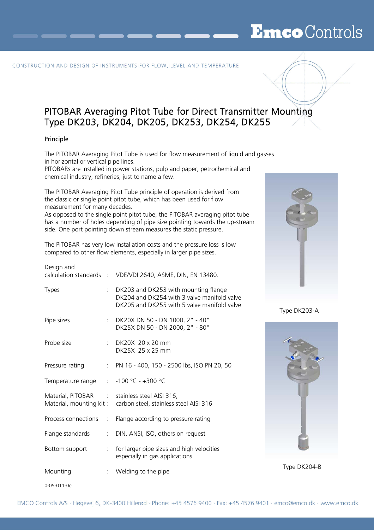# **Emco** Controls

#### CONSTRUCTION AND DESIGN OF INSTRUMENTS FOR FLOW, LEVEL AND TEMPERATURE

# PITOBAR Averaging Pitot Tube for Direct Transmitter Mounting Type DK203, DK204, DK205, DK253, DK254, DK255

#### Principle

The PITOBAR Averaging Pitot Tube is used for flow measurement of liquid and gasses in horizontal or vertical pipe lines.

PITOBARs are installed in power stations, pulp and paper, petrochemical and chemical industry, refineries, just to name a few.

The PITOBAR Averaging Pitot Tube principle of operation is derived from the classic or single point pitot tube, which has been used for flow measurement for many decades.

As opposed to the single point pitot tube, the PITOBAR averaging pitot tube has a number of holes depending of pipe size pointing towards the up-stream side. One port pointing down stream measures the static pressure.

The PITOBAR has very low installation costs and the pressure loss is low compared to other flow elements, especially in larger pipe sizes.

| Design and                                    |                              | calculation standards : VDE/VDI 2640, ASME, DIN, EN 13480.                                                                           |              |
|-----------------------------------------------|------------------------------|--------------------------------------------------------------------------------------------------------------------------------------|--------------|
| Types                                         |                              | : DK203 and DK253 with mounting flange<br>DK204 and DK254 with 3 valve manifold valve<br>DK205 and DK255 with 5 valve manifold valve | Type DK203-A |
| Pipe sizes                                    |                              | : DK20X DN 50 - DN 1000, 2" - 40"<br>DK25X DN 50 - DN 2000, 2" - 80"                                                                 |              |
| Probe size                                    |                              | : DK20X 20 x 20 mm<br>DK25X 25 x 25 mm                                                                                               |              |
| Pressure rating                               |                              | : PN 16 - 400, 150 - 2500 lbs, ISO PN 20, 50                                                                                         |              |
| Temperature range : -100 °C - +300 °C         |                              |                                                                                                                                      |              |
| Material, PITOBAR : stainless steel AISI 316, |                              | Material, mounting kit: carbon steel, stainless steel AISI 316                                                                       |              |
| Process connections<br>$\sim 100$             |                              | Flange according to pressure rating                                                                                                  |              |
| Flange standards                              | $\mathcal{L}_{\mathrm{max}}$ | DIN, ANSI, ISO, others on request                                                                                                    |              |
| Bottom support                                |                              | : for larger pipe sizes and high velocities<br>especially in gas applications                                                        |              |
| Mounting                                      |                              | : Welding to the pipe                                                                                                                | Type DK204-B |
|                                               |                              |                                                                                                                                      |              |



Type DK203-A